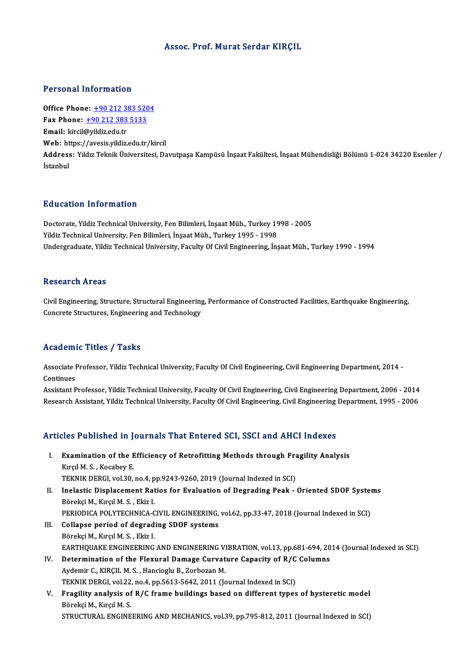#### Assoc. Prof.Murat Serdar KIRÇIL

#### Personal Information

Office Phone: +90 212 383 5204 1 0100111 11101 1111011<br>Office Phone: <u>+90 212 383 520</u><br>Fax Phone: <u>+90 212 383 5133</u> Office Phone: <u>+90 212 33</u><br>Fax Phone: <u>+90 212 383</u><br>Email: kircil@yildiz.edu.tr<br>Web: https://avesis.vildiz. Email: kircil@yildiz.edu.tr<br>Web: https:/[/avesis.yildiz.edu.tr](tel:+90 212 383 5133)[/k](tel:+90 212 383 5204)ircil **Email:** kircil@yildiz.edu.tr<br>Web: https://avesis.yildiz.edu.tr/kircil<br>Address: Yıldız Teknik Üniversitesi, Davutpaşa Kampüsü İnşaat Fakültesi, İnşaat Mühendisliği Bölümü 1-024 34220 Esenler / Web: ht<br>Address<br>İstanbul

#### Education Information

Doctorate, Yildiz Technical University, Fen Bilimleri, İnşaat Müh., Turkey 1998 - 2005 Yildiz Technical University, Fen Bilimleri, İnşaat Müh., Turkey 1995 - 1998 Undergraduate, Yildiz Technical University, Faculty Of Civil Engineering, İnsaat Müh., Turkey 1990 - 1994

#### Research Areas

Civil Engineering, Structure, Structural Engineering, Performance of Constructed Facilities, Earthquake Engineering, Concrete Structures, Engineering and Technology

## Academic Titles / Tasks

**Academic Titles / Tasks**<br>Associate Professor, Yildiz Technical University, Faculty Of Civil Engineering, Civil Engineering Department, 2014 -<br>Continues Associate I<br>Continues<br>Assistant B Associate Professor, Yildiz Technical University, Faculty Of Civil Engineering, Civil Engineering Department, 2014 -<br>Continues<br>Assistant Professor, Yildiz Technical University, Faculty Of Civil Engineering, Civil Engineeri

Continues<br>Assistant Professor, Yildiz Technical University, Faculty Of Civil Engineering, Civil Engineering Department, 2006 - 2014<br>Research Assistant, Yildiz Technical University, Faculty Of Civil Engineering, Civil Engin Research Assistant, Yildiz Technical University, Faculty Of Civil Engineering, Civil Engineering Department, 1995 - 2006<br>Articles Published in Journals That Entered SCI, SSCI and AHCI Indexes

- rticles Published in Journals That Entered SCI, SSCI and AHCI Indexes<br>I. Examination of the Efficiency of Retrofitting Methods through Fragility Analysis<br>Kural M.S. Kasabay E Examination of the Examination of the Examination<br>Examination of the Example E. Examination of the Efficiency of Retrofitting Methods through Fra<br>Kırçıl M. S. , Kocabey E.<br>TEKNIK DERGI, vol.30, no.4, pp.9243-9260, 2019 (Journal Indexed in SCI)<br>Inclastis Displacement Paties for Evaluation of Despeding Kırçıl M. S. , Kocabey E.<br>TEKNIK DERGI, vol.30, no.4, pp.9243-9260, 2019 (Journal Indexed in SCI)<br>II. Inelastic Displacement Ratios for Evaluation of Degrading Peak - Oriented SDOF Systems<br>Përeksi M. Kurel M. S. Fkir J
- TEKNIK DERGI, vol.30, no.4, pp.9243-9260, 2019 (Journal Indexed in SCI)<br>Inelastic Displacement Ratios for Evaluation of Degrading Peak Oriented SDOF Syste<br>Börekçi M., Kırçıl M. S. , Ekiz I.<br>PERIODICA POLYTECHNICA-CIVIL E Inelastic Displacement Ratios for Evaluation of Degrading Peak - Oriented SDOF System<br>Börekçi M., Kırçıl M. S. , Ekiz I.<br>PERIODICA POLYTECHNICA-CIVIL ENGINEERING, vol.62, pp.33-47, 2018 (Journal Indexed in SCI)<br>Collange pe
- III. Collapse period of degrading SDOF systems BörekçiM.,KırçılM.S. ,Ekiz I. EARTHQUAKE ENGINEERING AND ENGINEERING VIBRATION, vol.13, pp.681-694, 2014 (Journal Indexed in SCI) Börekçi M., Kırçıl M. S. , Ekiz I.<br>EARTHQUAKE ENGINEERING AND ENGINEERING VIBRATION, vol.13, pp.681-694, 20<br>IV. Determination of the Flexural Damage Curvature Capacity of R/C Columns<br>Aydemir C. KIBCU M. S. Hangieght B. Zer
- Aydemir C., KIRÇIL M. S., Hancioglu B., Zorbozan M. Determination of the Flexural Damage Curvature Capacity of R/C<br>Aydemir C., KIRÇIL M. S. , Hancioglu B., Zorbozan M.<br>TEKNIK DERGI, vol.22, no.4, pp.5613-5642, 2011 (Journal Indexed in SCI)<br>Enagility analysis of B/C frame bu Aydemir C., KIRÇIL M. S. , Hancioglu B., Zorbozan M.<br>TEKNIK DERGI, vol.22, no.4, pp.5613-5642, 2011 (Journal Indexed in SCI)<br>V. Fragility analysis of R/C frame buildings based on different types of hysteretic model<br>Përeksi
- TEKNIK DERGI, vol.22, no.4, pp.5613-5642, 2011 (Journal Indexed in SCI)<br>Fragility analysis of R/C frame buildings based on different types of hysteretic model<br>Börekçi M., Kırçıl M. S.<br>STRUCTURAL ENGINEERING AND MECHANICS, Fragility analysis of R/C frame buildings based on different types of hysteretic model<br>Börekçi M., Kırçıl M. S.<br>STRUCTURAL ENGINEERING AND MECHANICS, vol.39, pp.795-812, 2011 (Journal Indexed in SCI)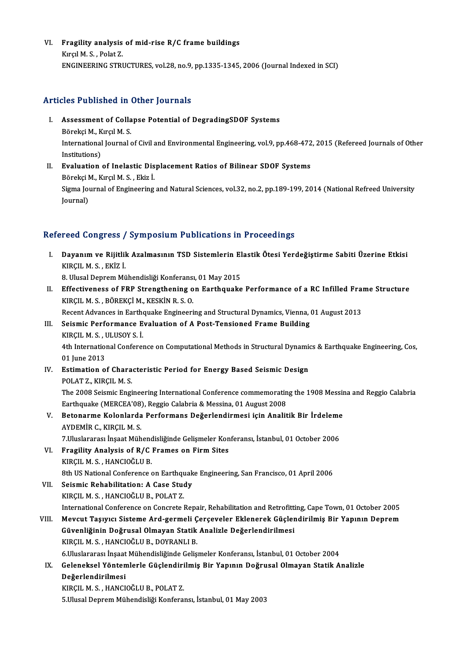VI. Fragility analysis of mid-rise R/C frame buildings<br>Kingl M.S. Bolat 7 **Fragility analysis<br>Kırçıl M. S. , Polat Z.<br>ENGINEEDING STPI** Kırçıl M. S. , Polat Z.<br>ENGINEERING STRUCTURES, vol.28, no.9, pp.1335-1345, 2006 (Journal Indexed in SCI)

### Articles Published in Other Journals

- rticles Published in Other Journals<br>I. Assessment of Collapse Potential of DegradingSDOF Systems<br>Päreksi M. Kursl M. S Assessment of Colla<br>Börekçi M., Kırçıl M. S.<br>International Journal International Journal of Civil and Environmental Engineering, vol.9, pp.468-472, 2015 (Refereed Journals of Other<br>Institutions) Börekçi M., Kırçıl M. S. International Journal of Civil and Environmental Engineering, vol.9, pp.468-472<br>Institutions)<br>II. Evaluation of Inelastic Displacement Ratios of Bilinear SDOF Systems<br>Përeksi M. Kugul M. S. Fligt İ
- Institutions)<br><mark>Evaluation of Inelastic Dis</mark><br>Börekçi M., Kırçıl M. S. , Ekiz İ.<br>Sisma Journal of Engineering Sigma Journal of Engineering and Natural Sciences, vol.32, no.2, pp.189-199, 2014 (National Refreed University<br>Journal) Börekçi M., Kırçıl M. S., Ekiz İ.

## Refereed Congress / Symposium Publications in Proceedings

efereed Congress / Symposium Publications in Proceedings<br>I. Dayanım ve Rijitlik Azalmasının TSD Sistemlerin Elastik Ötesi Yerdeğiştirme Sabiti Üzerine Etkisi<br>KIRCU M.S. EKİZ İ Noon Göngress<br>Dayanım ve Rijitlil<br>KIRÇIL M. S. , EKİZ İ.<br>9. Ulucal Danram Mü Dayanım ve Rijitlik Azalmasının TSD Sistemlerin El<br>KIRÇIL M. S. , EKİZ İ.<br>8. Ulusal Deprem Mühendisliği Konferansı, 01 May 2015<br>Effectiveness of EBB Strengthening en Fertheueke

- KIRÇIL M. S. , EKİZ İ.<br>8. Ulusal Deprem Mühendisliği Konferansı, 01 May 2015<br>II. Effectiveness of FRP Strengthening on Earthquake Performance of a RC Infilled Frame Structure<br>KIRCIL M. S. PÖREKCİ M. KESKİN B. S. O 8. Ulusal Deprem Mühendisliği Konferansı<br>Effectiveness of FRP Strengthening o<br>KIRÇIL M. S. , BÖREKÇİ M., KESKİN R. S. O.<br>Besent Advances in Farthauelia Engineeri Effectiveness of FRP Strengthening on Earthquake Performance of a RC Infilled Frai<br>KIRÇIL M. S., BÖREKÇİ M., KESKİN R. S. O.<br>Recent Advances in Earthquake Engineering and Structural Dynamics, Vienna, 01 August 2013<br>Seismis
	- Recent Advances in Earthquake Engineering and Structural Dynamics, Vienna, 01 August 2013
- KIRÇIL M. S., BÖREKÇİ M., KESKİN R. S. O.<br>Recent Advances in Earthquake Engineering and Structural Dynamics, Vienna,<br>III. Seismic Performance Evaluation of A Post-Tensioned Frame Building<br>KIRCIL M. S., ULUSOY S. İ. Seismic Performance Evaluation of A Post-Tensioned Frame Building<br>KIRÇIL M. S. , ULUSOY S. İ.<br>4th International Conference on Computational Methods in Structural Dynamics & Earthquake Engineering, Cos,<br>01 Iune 2012 KIRÇIL M. S. , I<br>4th Internation<br>01 June 2013<br>Estimation o 4th International Conference on Computational Methods in Structural Dynamic<br>01 June 2013<br>IV. Estimation of Characteristic Period for Energy Based Seismic Design<br>POLATZ KIPCU M S
- 01 June 2013<br><mark>Estimation of Chara</mark><br>POLAT Z., KIRÇIL M. S.<br>The 2008 Seismis Fasi Estimation of Characteristic Period for Energy Based Seismic Design<br>POLAT Z., KIRÇIL M. S.<br>The 2008 Seismic Engineering International Conference commemorating the 1908 Messina and Reggio Calabria<br>Farthaugka (MERCEA'09), Ra POLAT Z., KIRÇIL M. S.<br>The 2008 Seismic Engineering International Conference commemoratin<br>Earthquake (MERCEA'08), Reggio Calabria & Messina, 01 August 2008<br>Betenerme Kelenlande Performane Dežerlendirmesi isin Anelit The 2008 Seismic Engineering International Conference commemorating the 1908 Messin<br>Earthquake (MERCEA'08), Reggio Calabria & Messina, 01 August 2008<br>V. Betonarme Kolonlarda Performans Değerlendirmesi için Analitik Bir İrd
- Earthquake (MERCEA'08)<br>Betonarme Kolonlarda<br>AYDEMİR C., KIRÇIL M. S.<br>7 Huslararası İnsaat Müh Betonarme Kolonlarda Performans Değerlendirmesi için Analitik Bir İrdeleme<br>AYDEMİR C., KIRÇIL M. S.<br>7.Uluslararası İnşaat Mühendisliğinde Gelişmeler Konferansı, İstanbul, 01 October 2006<br>Enasility Analysis of B./C Erames o
- AYDEMİR C., KIRÇIL M. S.<br>7.Uluslararası İnşaat Mühendisliğinde Gelişmeler Kon<br>VI. Bragility Analysis of R/C Frames on Firm Sites<br>ERIRCIL M. S. HANGIQĞLU P 7.Uluslararası İnşaat Mühenc<br>Fragility Analysis of R/C<br>KIRÇIL M. S. , HANCIOĞLU B.<br><sup>9th HS</sup> National Conference ( Fragility Analysis of R/C Frames on Firm Sites<br>KIRÇIL M. S. , HANCIOĞLU B.<br>8th US National Conference on Earthquake Engineering, San Francisco, 01 April 2006<br>Seismis Behabilitation: A Case Study. KIRÇIL M. S. , HANCIOĞLU B.<br>8th US National Conference on Earthquak<br>VII. Seismic Rehabilitation: A Case Study<br>VIPCU M. S. HANCIOĞLU B. POLAT Z
- 8th US National Conference on Earthqu<br>Seismic Rehabilitation: A Case Stud<br>KIRÇIL M. S. , HANCIOĞLU B., POLAT Z.<br>International Conference on Concrete l Seismic Rehabilitation: A Case Study<br>International Conference on Concrete Repair, Rehabilitation and Retrofitting, Cape Town, 01 October 2005<br>International Conference on Concrete Repair, Rehabilitation and Retrofitting, Ca KIRÇIL M. S. , HANCIOĞLU B., POLAT Z.<br>International Conference on Concrete Repair, Rehabilitation and Retrofitting, Cape Town, 01 October 2005<br>VIII. Mevcut Taşıyıcı Sisteme Ard-germeli Çerçeveler Eklenerek Güçlendirilmiş B
	-
- International Conference on Concrete Repair, Rehabilitation and Retrofitti<br>Mevcut Taşıyıcı Sisteme Ard-germeli Çerçeveler Eklenerek Güçler<br>Güvenliğinin Doğrusal Olmayan Statik Analizle Değerlendirilmesi<br>KIRCU M.S., HANCIOČ Mevcut Taşıyıcı Sisteme Ard-germeli Ç<br>Güvenliğinin Doğrusal Olmayan Statik<br>KIRÇIL M. S. , HANCIOĞLU B., DOYRANLI B.<br>6 Uluslararası İnsast Mühandisliğində Colia Güvenliğinin Doğrusal Olmayan Statik Analizle Değerlendirilmesi<br>KIRÇIL M. S. , HANCIOĞLU B., DOYRANLI B.<br>6.Uluslararası İnşaat Mühendisliğinde Gelişmeler Konferansı, İstanbul, 01 October 2004<br>Celeneksel Yöntemlerle Cüslend KIRÇIL M. S. , HANCIOĞLU B., DOYRANLI B.<br>6.Uluslararası İnşaat Mühendisliğinde Gelişmeler Konferansı, İstanbul, 01 October 2004<br>IX. Geleneksel Yöntemlerle Güçlendirilmiş Bir Yapının Doğrusal Olmayan Statik Analizle<br>Değerle

## 6.Uluslararası İnşaat<br>Geleneksel Yönten<br>Değerlendirilmesi<br>EURCU M.S. HANCL Geleneksel Yöntemlerle Güçlendiri<br>Değerlendirilmesi<br>KIRÇIL M. S. , HANCIOĞLU B., POLAT Z.<br>E Ulusal Denrem Mühendialiği Kenfere

Değerlendirilmesi<br>KIRÇIL M. S. , HANCIOĞLU B., POLAT Z.<br>5.Ulusal Deprem Mühendisliği Konferansı, İstanbul, 01 May 2003